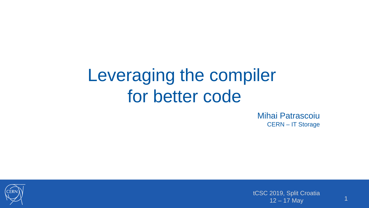# Leveraging the compiler for better code

Mihai Patrascoiu CERN – IT Storage



tCSC 2019, Split Croatia  $12 - 17$  May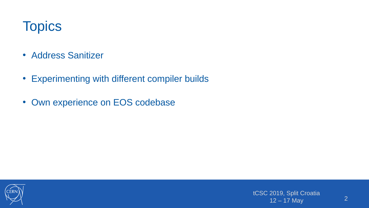# **Topics**

- Address Sanitizer
- Experimenting with different compiler builds
- Own experience on EOS codebase

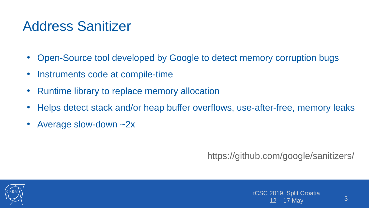# Address Sanitizer

- Open-Source tool developed by Google to detect memory corruption bugs
- Instruments code at compile-time
- Runtime library to replace memory allocation
- Helps detect stack and/or heap buffer overflows, use-after-free, memory leaks
- Average slow-down ~2x

#### <https://github.com/google/sanitizers/>

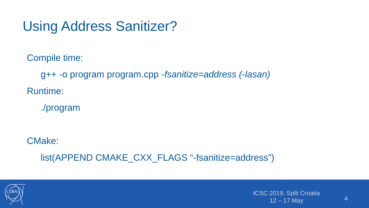# Using Address Sanitizer?

Compile time:

g++ -o program program.cpp *-fsanitize=address (-lasan)* Runtime:

./program

CMake:

list(APPEND CMAKE\_CXX\_FLAGS "-fsanitize=address")

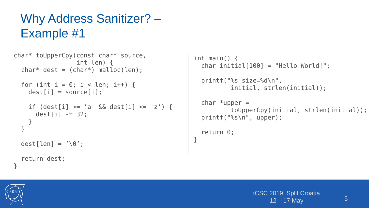### Why Address Sanitizer? – Example #1

```
char* toUpperCpy(const char* source, 
                     int len) {
  char* dest = (char*) malloc(len);
  for (int i = 0; i < len; i++) {
    dest[i] = source[i];if \text{dest}[i] \geq - \text{'a'} \& \text{dest}[i] \leq - \text{'}z') {
       dest[i] -= 32;
 }
   }
  dest[len] = '\0;
   return dest;
}
```

```
int main() {
  char initial[100] = "Hello World!";
  printf("%s size=%d\n", 
           initial, strlen(initial));
  char *upper =
           toUpperCpy(initial, strlen(initial));
   printf("%s\n", upper);
   return 0;
}
```


```
tCSC 2019, Split Croatia
     12 - 17 May
```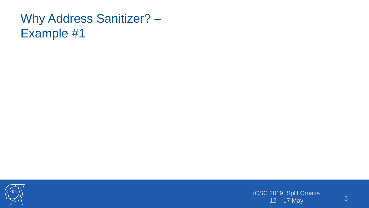### Why Address Sanitizer? – Example #1



tCSC 2019, Split Croatia 12 – 17 May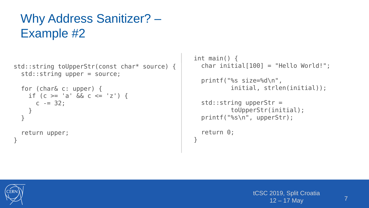### Why Address Sanitizer? – Example #2

```
std::string toUpperStr(const char* source) {
   std::string upper = source;
```

```
 for (char& c: upper) { 
    if (c \ge -a' \& c \le -z') {
       c -= 32;
     }
   }
   return upper;
}
```

```
int main() {
   char initial[100] = "Hello World!";
   printf("%s size=%d\n", 
           initial, strlen(initial));
   std::string upperStr = 
           toUpperStr(initial);
   printf("%s\n", upperStr);
   return 0;
}
```
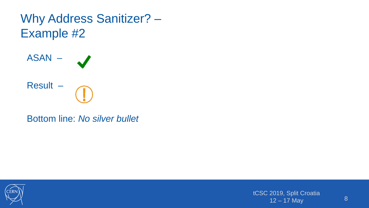



tCSC 2019, Split Croatia  $12 - 17$  May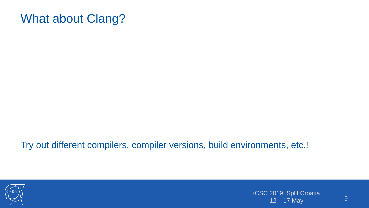#### What about Clang?

Try out different compilers, compiler versions, build environments, etc.!



tCSC 2019, Split Croatia  $12 - 17$  May  $9$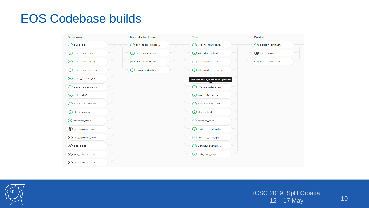#### EOS Codebase builds

| Build:rpm               | Build:dockerimage      |  | <b>Test</b>                     | Publish                  |  |
|-------------------------|------------------------|--|---------------------------------|--------------------------|--|
| $\odot$ build_cc7       | $\odot$ cc7_asan_docke |  | ⊙ k8s_ns_unit_test              | O debian_artifacts       |  |
| ⊙ build_cc7_asan        | $\odot$ cc7_docker_ima |  | ⊙ k8s_stress_test               | The pm_commit_ar         |  |
| ⊙ build_cc7_clang       | ⊙ cc7_docker_ima       |  | ⊙ k8s_system_test               | $\odot$ rpm_testing_arti |  |
| $\odot$ build_cc7_xrd_t | $\odot$ ubuntu_docker_ |  | $\odot$ k8s_system_test         |                          |  |
| $\odot$ build_fedora_ra |                        |  | k8s_ubuntu_system_test - passed |                          |  |
| ⊙ build_fedora_st       |                        |  | ⊙ k8s_ubuntu_sys                |                          |  |
| $\odot$ build_slc6      |                        |  | $\odot$ k8s_unit_test_as        |                          |  |
| $\odot$ build_ubuntu_bi |                        |  | $\odot$ namespace_unit          |                          |  |
| $\odot$ clone_docker    |                        |  | $\odot$ stress_test             |                          |  |
| $\odot$ macosx_dmg      |                        |  | $\odot$ system_test             |                          |  |
| co eos_apmon_cc7        |                        |  | ⊙ system_test_qdb               |                          |  |
| co eos_apmon_sic6       |                        |  | $\odot$ system_test_qd          |                          |  |
| $\circledcirc$ eos_docs |                        |  | ⊙ ubuntu_system_                |                          |  |
| co eos_microhttpd       |                        |  | ⊙ unit_test_asan                |                          |  |
| (c) eos_microhttpd      |                        |  |                                 |                          |  |

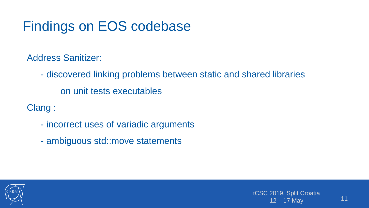# Findings on EOS codebase

Address Sanitizer:

- discovered linking problems between static and shared libraries on unit tests executables

Clang :

- incorrect uses of variadic arguments
- ambiguous std::move statements